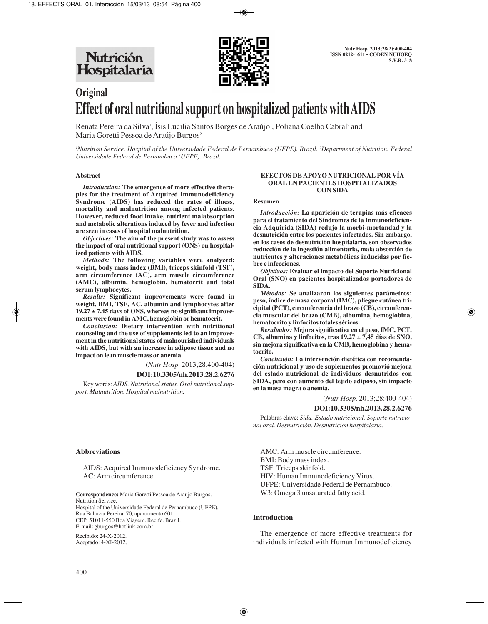Nutrición Hospitalaria



# **Original Effect of oral nutritional support on hospitalized patients with AIDS**

Renata Pereira da Silva<sup>1</sup>, Isis Lucilia Santos Borges de Araújo<sup>1</sup>, Poliana Coelho Cabral<sup>2</sup> and Maria Goretti Pessoa de Araújo Burgos<sup>2</sup>

*1 Nutrition Service. Hospital of the Universidade Federal de Pernambuco (UFPE). Brazil. 2 Department of Nutrition. Federal Universidade Federal de Pernambuco (UFPE). Brazil.*

#### **Abstract**

*Introduction:* **The emergence of more effective therapies for the treatment of Acquired Immunodeficiency Syndrome (AIDS) has reduced the rates of illness, mortality and malnutrition among infected patients. However, reduced food intake, nutrient malabsorption and metabolic alterations induced by fever and infection are seen in cases of hospital malnutrition.** 

*Objectives:* **The aim of the present study was to assess the impact of oral nutritional support (ONS) on hospitalized patients with AIDS.**

*Methods:* **The following variables were analyzed: weight, body mass index (BMI), triceps skinfold (TSF), arm circumference (AC), arm muscle circumference (AMC), albumin, hemoglobin, hematocrit and total serum lymphocytes.** 

*Results:* **Significant improvements were found in weight, BMI, TSF, AC, albumin and lymphocytes after 19.27 ± 7.45 days of ONS, whereas no significant improvements were found in AMC, hemoglobin or hematocrit.** 

*Conclusion:* **Dietary intervention with nutritional counseling and the use of supplements led to an improvement in the nutritional status of malnourished individuals with AIDS, but with an increase in adipose tissue and no impact on lean muscle mass or anemia.**

(*Nutr Hosp.* 2013;28:400-404)

**DOI:10.3305/nh.2013.28.2.6276**

Key words: *AIDS. Nutritional status. Oral nutritional support. Malnutrition. Hospital malnutrition.*

#### **Abbreviations**

AIDS: Acquired Immunodeficiency Syndrome. AC: Arm circumference.

**Correspondence:** Maria Goretti Pessoa de Araújo Burgos. Nutrition Service. Hospital of the Universidade Federal de Pernambuco (UFPE). Rua Baltazar Pereira, 70, apartamento 601.

CEP: 51011-550 Boa Viagem. Recife. Brazil.

E-mail: gburgos@hotlink.com.br

Recibido: 24-X-2012. Aceptado: 4-XI-2012.

#### **EFECTOS DE APOYO NUTRICIONAL POR VÍA ORAL EN PACIENTES HOSPITALIZADOS CON SIDA**

#### **Resumen**

*Introducción:* **La aparición de terapias más eficaces para el tratamiento del Síndromes de la Inmunodeficiencia Adquirida (SIDA) redujo la morbi-mortandad y la desnutrición entre los pacientes infectados. Sin embargo, en los casos de desnutrición hospitalaria, son observados reducción de la ingestión alimentaria, mala absorción de nutrientes y alteraciones metabólicas inducidas por fiebre e infecciones.**

*Objetivos:* **Evaluar el impacto del Suporte Nutricional Oral (SNO) en pacientes hospitalizados portadores de SIDA.**

*Métodos:* **Se analizaron los siguientes parámetros: peso, índice de masa corporal (IMC), pliegue cutánea tricipital (PCT), circunferencia del brazo (CB), circunferencia muscular del brazo (CMB), albumina, hemoglobina, hematocrito y linfocitos totales séricos.**

*Resultados:* **Mejora significativa en el peso, IMC, PCT, CB, albumina y linfocitos, tras 19,27 ± 7,45 días de SNO, sin mejora significativa en la CMB, hemoglobina y hematocrito.**

*Conclusión:* **La intervención dietética con recomendación nutricional y uso de suplementos promovió mejora del estado nutricional de individuos desnutridos con SIDA, pero con aumento del tejido adiposo, sin impacto en la masa magra o anemia.**

(*Nutr Hosp.* 2013;28:400-404)

#### **DOI:10.3305/nh.2013.28.2.6276**

Palabras clave: *Sida. Estado nutricional. Soporte nutricional oral. Desnutrición. Desnutrición hospitalaria.*

AMC: Arm muscle circumference. BMI: Body mass index. TSF: Triceps skinfold. HIV: Human Immunodeficiency Virus. UFPE: Universidade Federal de Pernambuco. W3: Omega 3 unsaturated fatty acid.

## **Introduction**

The emergence of more effective treatments for individuals infected with Human Immunodeficiency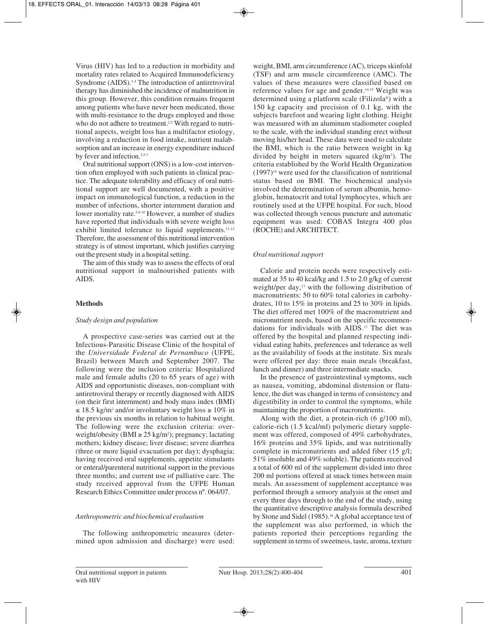Virus (HIV) has led to a reduction in morbidity and mortality rates related to Acquired Immunodeficiency Syndrome (AIDS).1-4 The introduction of antiretroviral therapy has diminished the incidence of malnutrition in this group. However, this condition remains frequent among patients who have never been medicated, those with multi-resistance to the drugs employed and those who do not adhere to treatment.<sup>2,5</sup> With regard to nutritional aspects, weight loss has a multifactor etiology, involving a reduction in food intake, nutrient malabsorption and an increase in energy expenditure induced by fever and infection.<sup>2,5-7</sup>

Oral nutritional support (ONS) is a low-cost intervention often employed with such patients in clinical practice. The adequate tolerability and efficacy of oral nutritional support are well documented, with a positive impact on immunological function, a reduction in the number of infections, shorter internment duration and lower mortality rate.5,8-10 However, a number of studies have reported that individuals with severe weight loss exhibit limited tolerance to liquid supplements.11-13 Therefore, the assessment of this nutritional intervention strategy is of utmost important, which justifies carrying out the present study in a hospital setting.

The aim of this study was to assess the effects of oral nutritional support in malnourished patients with AIDS.

## **Methods**

## *Study design and population*

A prospective case-series was carried out at the Infectious-Parasitic Disease Clinic of the hospital of the *Universidade Federal de Pernambuco* (UFPE, Brazil) between March and September 2007. The following were the inclusion criteria: Hospitalized male and female adults (20 to 65 years of age) with AIDS and opportunistic diseases, non-compliant with antiretroviral therapy or recently diagnosed with AIDS (on their first internment) and body mass index (BMI) ≤ 18.5 kg/m2 and/or involuntary weight loss ≥ 10% in the previous six months in relation to habitual weight. The following were the exclusion criteria: overweight/obesity ( $\text{BMI} \geq 25 \text{ kg/m}^2$ ); pregnancy; lactating mothers; kidney disease; liver disease; severe diarrhea (three or more liquid evacuation per day); dysphagia; having received oral supplements, appetite stimulants or enteral/parenteral nutritional support in the previous three months; and current use of palliative care. The study received approval from the UFPE Human Research Ethics Committee under process nº. 064/07.

## *Anthropometric and biochemical evaluation*

The following anthropometric measures (determined upon admission and discharge) were used: weight, BMI, arm circumference (AC), triceps skinfold (TSF) and arm muscle circumference (AMC). The values of these measures were classified based on reference values for age and gender.14,15 Weight was determined using a platform scale (Filizola®) with a 150 kg capacity and precision of 0.1 kg, with the subjects barefoot and wearing light clothing. Height was measured with an aluminum stadiometer coupled to the scale, with the individual standing erect without moving his/her head. These data were used to calculate the BMI, which is the ratio between weight in kg divided by height in meters squared  $(kg/m<sup>2</sup>)$ . The criteria established by the World Health Organization  $(1997)^{16}$  were used for the classification of nutritional status based on BMI. The biochemical analysis involved the determination of serum albumin, hemoglobin, hematocrit and total lymphocytes, which are routinely used at the UFPE hospital. For such, blood was collected through venous puncture and automatic equipment was used: COBAS Integra 400 plus (ROCHE) and ARCHITECT.

# *Oral nutritional support*

Calorie and protein needs were respectively estimated at 35 to 40 kcal/kg and 1.5 to 2.0 g/kg of current weight/per day,<sup>17</sup> with the following distribution of macronutrients: 50 to 60% total calories in carbohydrates, 10 to 15% in proteins and 25 to 30% in lipids. The diet offered met 100% of the macronutrient and micronutrient needs, based on the specific recommendations for individuals with AIDS.17 The diet was offered by the hospital and planned respecting individual eating habits, preferences and tolerance as well as the availability of foods at the institute. Six meals were offered per day: three main meals (breakfast, lunch and dinner) and three intermediate snacks.

In the presence of gastrointestinal symptoms, such as nausea, vomiting, abdominal distension or flatulence, the diet was changed in terms of consistency and digestibility in order to control the symptoms, while maintaining the proportion of macronutrients.

Along with the diet, a protein-rich (6 g/100 ml), calorie-rich (1.5 kcal/ml) polymeric dietary supplement was offered, composed of 49% carbohydrates, 16% proteins and 35% lipids, and was nutritionally complete in micronutrients and added fiber (15 g/l; 51% insoluble and 49% soluble). The patients received a total of 600 ml of the supplement divided into three 200 ml portions offered at snack times between main meals. An assessment of supplement acceptance was performed through a sensory analysis at the onset and every three days through to the end of the study, using the quantitative descriptive analysis formula described by Stone and Sidel (1985).<sup>18</sup> A global acceptance test of the supplement was also performed, in which the patients reported their perceptions regarding the supplement in terms of sweetness, taste, aroma, texture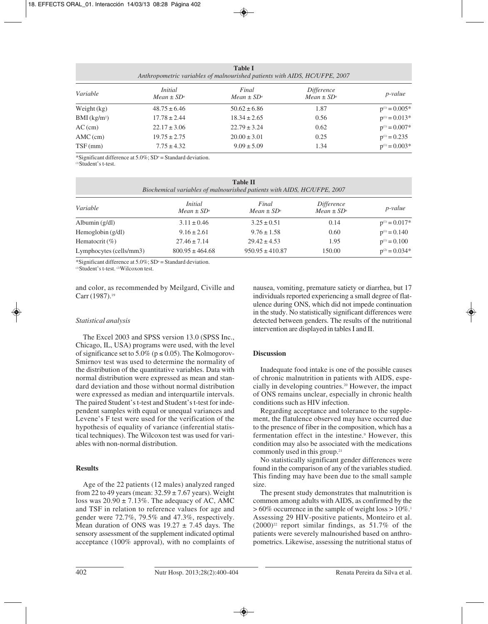| <b>Table I</b><br>Anthropometric variables of malnourished patients with AIDS, HC/UFPE, 2007 |                                   |                          |                               |                    |  |  |  |
|----------------------------------------------------------------------------------------------|-----------------------------------|--------------------------|-------------------------------|--------------------|--|--|--|
| Variable                                                                                     | <i>Initial</i><br>$Mean \pm SD^a$ | Final<br>$Mean \pm SD^a$ | Difference<br>$Mean \pm SD^a$ | $p$ -value         |  |  |  |
| Weight $(kg)$                                                                                | $48.75 \pm 6.46$                  | $50.62 \pm 6.86$         | 1.87                          | $p^{(1)} = 0.005*$ |  |  |  |
| $BMI$ (kg/m <sup>2</sup> )                                                                   | $17.78 \pm 2.44$                  | $18.34 \pm 2.65$         | 0.56                          | $p^{(1)} = 0.013*$ |  |  |  |
| $AC$ (cm)                                                                                    | $22.17 \pm 3.06$                  | $22.79 \pm 3.24$         | 0.62                          | $p^{(1)} = 0.007*$ |  |  |  |
| $AMC$ (cm)                                                                                   | $19.75 \pm 2.75$                  | $20.00 \pm 3.01$         | 0.25                          | $p^{(1)} = 0.235$  |  |  |  |
| $TSF$ (mm)                                                                                   | $7.75 \pm 4.32$                   | $9.09 \pm 5.09$          | 1.34                          | $p^{(1)} = 0.003*$ |  |  |  |

\*Significant difference at  $5.0\%$ ; SD<sup>®</sup> = Standard deviation.

(1)Student's t-test.

| <b>Table II</b><br>Biochemical variables of malnourished patients with AIDS, HC/UFPE, 2007 |                                   |                          |                                      |                    |  |  |  |
|--------------------------------------------------------------------------------------------|-----------------------------------|--------------------------|--------------------------------------|--------------------|--|--|--|
| Variable                                                                                   | <i>Initial</i><br>$Mean \pm SD^a$ | Final<br>$Mean \pm SD^a$ | <i>Difference</i><br>$Mean \pm SD^a$ | <i>p</i> -value    |  |  |  |
| Albumin $(g/dl)$                                                                           | $3.11 \pm 0.46$                   | $3.25 \pm 0.51$          | 0.14                                 | $p^{(1)} = 0.017*$ |  |  |  |
| Hemoglobin $(g/dl)$                                                                        | $9.16 \pm 2.61$                   | $9.76 \pm 1.58$          | 0.60                                 | $p^{(1)} = 0.140$  |  |  |  |
| Hematocrit $(\%)$                                                                          | $27.46 \pm 7.14$                  | $29.42 \pm 4.53$         | 1.95                                 | $p^{(1)} = 0.100$  |  |  |  |
| Lymphocytes (cells/mm3)                                                                    | $800.95 \pm 464.68$               | $950.95 \pm 410.87$      | 150.00                               | $p^{(2)} = 0.034*$ |  |  |  |

\*Significant difference at  $5.0\%$ ; SD<sup>a</sup> = Standard deviation.

(1)Student's t-test. (2)Wilcoxon test.

and color, as recommended by Meilgard, Civille and Carr (1987).<sup>19</sup>

# *Statistical analysis*

The Excel 2003 and SPSS version 13.0 (SPSS Inc., Chicago, IL, USA) programs were used, with the level of significance set to 5.0% ( $p \le 0.05$ ). The Kolmogorov-Smirnov test was used to determine the normality of the distribution of the quantitative variables. Data with normal distribution were expressed as mean and standard deviation and those without normal distribution were expressed as median and interquartile intervals. The paired Student's t-test and Student's t-test for independent samples with equal or unequal variances and Levene's F test were used for the verification of the hypothesis of equality of variance (inferential statistical techniques). The Wilcoxon test was used for variables with non-normal distribution.

# **Results**

Age of the 22 patients (12 males) analyzed ranged from 22 to 49 years (mean:  $32.59 \pm 7.67$  years). Weight loss was  $20.90 \pm 7.13\%$ . The adequacy of AC, AMC and TSF in relation to reference values for age and gender were 72.7%, 79.5% and 47.3%, respectively. Mean duration of ONS was  $19.27 \pm 7.45$  days. The sensory assessment of the supplement indicated optimal acceptance (100% approval), with no complaints of nausea, vomiting, premature satiety or diarrhea, but 17 individuals reported experiencing a small degree of flatulence during ONS, which did not impede continuation in the study. No statistically significant differences were detected between genders. The results of the nutritional intervention are displayed in tables I and II.

# **Discussion**

Inadequate food intake is one of the possible causes of chronic malnutrition in patients with AIDS, especially in developing countries.20 However, the impact of ONS remains unclear, especially in chronic health conditions such as HIV infection.

Regarding acceptance and tolerance to the supplement, the flatulence observed may have occurred due to the presence of fiber in the composition, which has a fermentation effect in the intestine.<sup>9</sup> However, this condition may also be associated with the medications commonly used in this group.21

No statistically significant gender differences were found in the comparison of any of the variables studied. This finding may have been due to the small sample size.

The present study demonstrates that malnutrition is common among adults with AIDS, as confirmed by the  $> 60\%$  occurrence in the sample of weight loss  $> 10\%$ .<sup>1</sup> Assessing 29 HIV-positive patients, Monteiro et al.  $(2000)^{22}$  report similar findings, as 51.7% of the patients were severely malnourished based on anthropometrics. Likewise, assessing the nutritional status of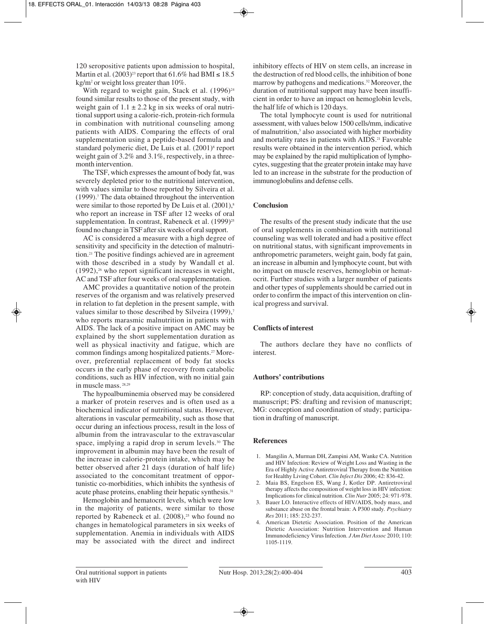120 seropositive patients upon admission to hospital, Martin et al.  $(2003)^{23}$  report that 61.6% had BMI  $\leq 18.5$ kg/m2 or weight loss greater than 10%.

With regard to weight gain, Stack et al.  $(1996)^{24}$ found similar results to those of the present study, with weight gain of  $1.1 \pm 2.2$  kg in six weeks of oral nutritional support using a calorie-rich, protein-rich formula in combination with nutritional counseling among patients with AIDS. Comparing the effects of oral supplementation using a peptide-based formula and standard polymeric diet, De Luis et al. (2001)<sup>8</sup> report weight gain of 3.2% and 3.1%, respectively, in a threemonth intervention.

The TSF, which expresses the amount of body fat, was severely depleted prior to the nutritional intervention, with values similar to those reported by Silveira et al. (1999).7 The data obtained throughout the intervention were similar to those reported by De Luis et al. (2001),<sup>8</sup> who report an increase in TSF after 12 weeks of oral supplementation. In contrast, Rabeneck et al. (1999)<sup>25</sup> found no change in TSF after six weeks of oral support.

AC is considered a measure with a high degree of sensitivity and specificity in the detection of malnutrition.21 The positive findings achieved are in agreement with those described in a study by Wandall et al.  $(1992)$ ,<sup>26</sup> who report significant increases in weight, AC and TSF after four weeks of oral supplementation.

AMC provides a quantitative notion of the protein reserves of the organism and was relatively preserved in relation to fat depletion in the present sample, with values similar to those described by Silveira (1999).<sup>7</sup> who reports marasmic malnutrition in patients with AIDS. The lack of a positive impact on AMC may be explained by the short supplementation duration as well as physical inactivity and fatigue, which are common findings among hospitalized patients.27 Moreover, preferential replacement of body fat stocks occurs in the early phase of recovery from catabolic conditions, such as HIV infection, with no initial gain in muscle mass. 28,29

The hypoalbuminemia observed may be considered a marker of protein reserves and is often used as a biochemical indicator of nutritional status. However, alterations in vascular permeability, such as those that occur during an infectious process, result in the loss of albumin from the intravascular to the extravascular space, implying a rapid drop in serum levels.<sup>30</sup> The improvement in albumin may have been the result of the increase in calorie-protein intake, which may be better observed after 21 days (duration of half life) associated to the concomitant treatment of opportunistic co-morbidities, which inhibits the synthesis of acute phase proteins, enabling their hepatic synthesis.<sup>31</sup>

Hemoglobin and hematocrit levels, which were low in the majority of patients, were similar to those reported by Rabeneck et al.  $(2008)^{25}$  who found no changes in hematological parameters in six weeks of supplementation. Anemia in individuals with AIDS may be associated with the direct and indirect

inhibitory effects of HIV on stem cells, an increase in the destruction of red blood cells, the inhibition of bone marrow by pathogens and medications.<sup>32</sup> Moreover, the duration of nutritional support may have been insufficient in order to have an impact on hemoglobin levels, the half life of which is 120 days.

The total lymphocyte count is used for nutritional assessment, with values below 1500 cells/mm, indicative of malnutrition,3 also associated with higher morbidity and mortality rates in patients with AIDS.<sup>21</sup> Favorable results were obtained in the intervention period, which may be explained by the rapid multiplication of lymphocytes, suggesting that the greater protein intake may have led to an increase in the substrate for the production of immunoglobulins and defense cells.

## **Conclusion**

The results of the present study indicate that the use of oral supplements in combination with nutritional counseling was well tolerated and had a positive effect on nutritional status, with significant improvements in anthropometric parameters, weight gain, body fat gain, an increase in albumin and lymphocyte count, but with no impact on muscle reserves, hemoglobin or hematocrit. Further studies with a larger number of patients and other types of supplements should be carried out in order to confirm the impact of this intervention on clinical progress and survival.

## **Conflicts of interest**

The authors declare they have no conflicts of interest.

## **Authors' contributions**

RP: conception of study, data acquisition, drafting of manuscript; PS: drafting and revision of manuscript; MG: conception and coordination of study; participation in drafting of manuscript.

## **References**

- 1. Mangilin A, Murman DH, Zampini AM, Wanke CA. Nutrition and HIV Infection: Review of Weight Loss and Wasting in the Era of Highly Active Antiretroviral Therapy from the Nutrition for Healthy Living Cohort. *Clin Infect Dis* 2006; 42: 836-42.
- 2. Maia BS, Engelson ES, Wang J, Kotler DP. Antiretroviral therapy affects the composition of weight loss in HIV infection: Implications for clinical nutrition. *Clin Nutr* 2005; 24: 971-978.
- 3. Bauer LO. Interactive effects of HIV/AIDS, body mass, and substance abuse on the frontal brain: A P300 study*. Psychiatry Res* 2011; 185: 232-237.
- 4. American Dietetic Association. Position of the American Dietetic Association: Nutrition Intervention and Human Immunodeficiency Virus Infection. *J Am Diet Assoc* 2010; 110: 1105-1119.